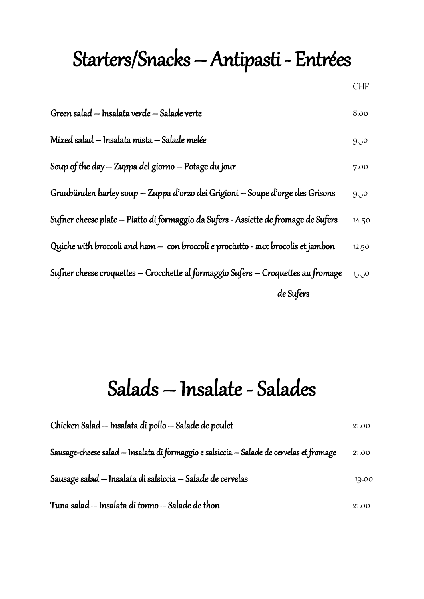#### Starters/Snacks – Antipasti - Entrées

| Green salad – Insalata verde – Salade verte                                   | 8.00 |
|-------------------------------------------------------------------------------|------|
| Mixed salad – Insalata mista – Salade melée                                   | 9.50 |
| Soup of the day $-$ Zuppa del giorno $-$ Potage du jour                       | 7.00 |
| Graubünden barley soup – Zuppa d'orzo dei Grigioni – Soupe d'orge des Grisons | 9.50 |
|                                                                               |      |

Sufner cheese plate – Piatto di formaggio da Sufers - Assiette de fromage de Sufers 14.50

- Quiche with broccoli and ham  $-$  con broccoli e prociutto aux brocolis et jambon  $12.50$
- Sufner cheese croquettes Crocchette al formaggio Sufers Croquettes au fromage 15.50 de Sufers

#### Salads – Insalate - Salades

| Chicken Salad – Insalata di pollo – Salade de poulet                                     | 21.00 |
|------------------------------------------------------------------------------------------|-------|
| Sausage-cheese salad – Insalata di formaggio e salsiccia – Salade de cervelas et fromage | 21.00 |
| Sausage salad – Insalata di salsiccia – Salade de cervelas                               | 19.00 |
| Tuna salad — Insalata di tonno — Salade de thon                                          | 21.00 |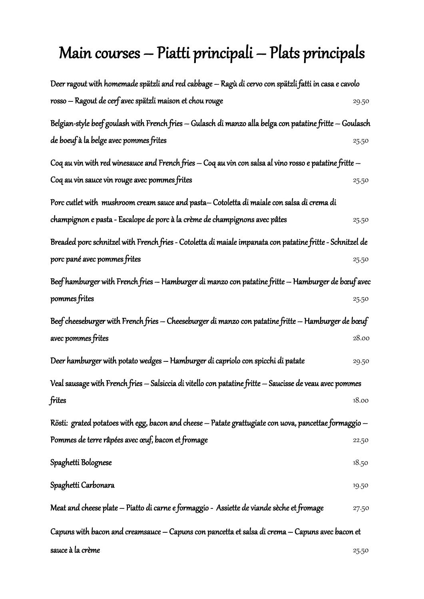#### Main courses – Piatti principali – Plats principals

| Deer ragout with homemade spätzli and red cabbage — Ragù di cervo con spätzli fatti in casa e cavolo        |       |
|-------------------------------------------------------------------------------------------------------------|-------|
| rosso – Ragout de cerf avec spätzli maison et chou rouge                                                    | 29.50 |
| Belgian-style beef goulash with French fries — Gulasch di manzo alla belga con patatine fritte — Goulasch   |       |
| de boeuf à la belge avec pommes frites                                                                      | 25.50 |
| Coq au vin with red winesauce and French fries $-$ Coq au vin con salsa al vino rosso e patatine fritte $-$ |       |
| Coq au vin sauce vin rouge avec pommes frites                                                               | 25.50 |
| Porc cutlet with  mushroom cream sauce and pasta— Cotoletta di maiale con salsa di crema di                 |       |
| champignon e pasta - Escalope de porc à la crème de champignons avec pâtes                                  | 25.50 |
| Breaded porc schnitzel with French fries - Cotoletta di maiale impanata con patatine fritte - Schnitzel de  |       |
| porc pané avec pommes frites                                                                                | 25.50 |
| Beef hamburger with French fries — Hamburger di manzo con patatine fritte — Hamburger de bœuf avec          |       |
| pommes frites                                                                                               | 25.50 |
| Beef cheeseburger with French fries — Cheeseburger di manzo con patatine fritte — Hamburger de bœuf         |       |
| avec pommes frites                                                                                          | 28.00 |
| Deer hamburger with potato wedges – Hamburger di capriolo con spicchi di patate                             | 29.50 |
| Veal sausage with French fries — Salsiccia di vitello con patatine fritte — Saucisse de veau avec pommes    |       |
| frites                                                                                                      | 18.00 |
| Rösti: grated potatoes with egg, bacon and cheese – Patate grattugiate con uova, pancettae formaggio –      |       |
| Pommes de terre râpées avec œuf, bacon et fromage                                                           | 22.50 |
| Spaghetti Bolognese                                                                                         | 18.50 |
| Spaghetti Carbonara                                                                                         | 19.50 |
| Meat and cheese plate — Piatto di carne e formaggio -  Assiette de viande sèche et fromage                  | 27.50 |
| Capuns with bacon and creamsauce — Capuns con pancetta et salsa di crema — Capuns avec bacon et             |       |
| sauce à la crème                                                                                            | 25.50 |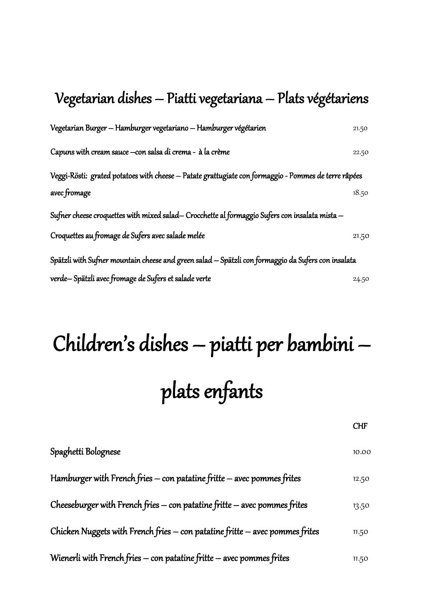#### Vegetarian dishes – Piatti vegetariana – Plats végétariens

| Vegetarian Burger - Hamburger vegetariano - Hamburger végétarien                                     | 21.50 |
|------------------------------------------------------------------------------------------------------|-------|
| Capuns with cream sauce - con salsa di crema - à la crème                                            | 22.50 |
| Veggi-Rösti: grated potatoes with cheese – Patate grattugiate con formaggio - Pommes de terre râpées |       |
| avec fromage                                                                                         | 18.50 |
| Sufner cheese croquettes with mixed salad-Crocchette al formaggio Sufers con insalata mista -        |       |
| Croquettes au fromage de Sufers avec salade melée                                                    | 21.50 |
| Spätzli with Sufner mountain cheese and green salad – Spätzli con formaggio da Sufers con insalata   |       |
| verde-Spätzli avec fromage de Sufers et salade verte                                                 | 24.50 |

# Children's dishes – piatti per bambini – plats enfants

| Spaghetti Bolognese                                                              | 10.00 |
|----------------------------------------------------------------------------------|-------|
| Hamburger with French fries $-$ con patatine fritte $-$ avec pommes frites       | 12.50 |
| Cheeseburger with French fries $-$ con patatine fritte $-$ avec pommes frites    | 13.50 |
| Chicken Nuggets with French fries $-$ con patatine fritte $-$ avec pommes frites | 11.50 |
| Wienerli with French fries - con patatine fritte - avec pommes frites            | 11.50 |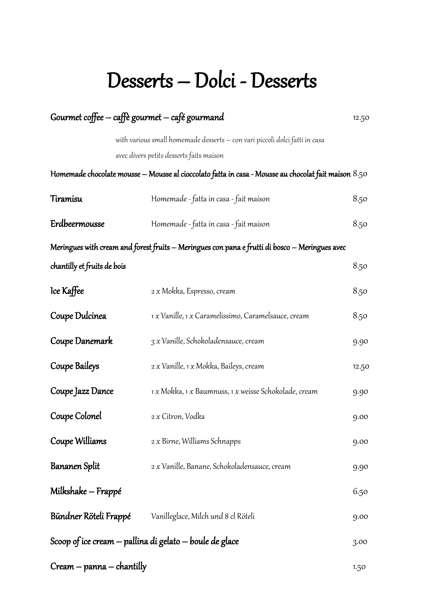#### Desserts – Dolci - Desserts

|                             | Gourmet coffee - caffè gourmet - café gourmand                                                       | 12.50 |
|-----------------------------|------------------------------------------------------------------------------------------------------|-------|
|                             | with various small homemade desserts – con vari piccoli dolci fatti in casa                          |       |
|                             | avec divers petits desserts faits maison                                                             |       |
|                             | Homemade chocolate mousse – Mousse al cioccolato fatta in casa - Mousse au chocolat fait maison 8.50 |       |
| Tiramisu                    | Homemade - fatta in casa - fait maison                                                               | 8.50  |
| Erdbeermousse               | Homemade - fatta in casa - fait maison                                                               | 8.50  |
|                             | Meringues with cream and forest fruits — Meringues con pana e frutti di bosco — Meringues avec       |       |
| chantilly et fruits de bois |                                                                                                      | 8.50  |
| lce Kaffee                  | 2 x Mokka, Espresso, cream                                                                           | 8.50  |
| Coupe Dulcinea              | 1 x Vanille, 1 x Caramelissimo, Caramelsauce, cream                                                  | 8.50  |
| Coupe Danemark              | 3 x Vanille, Schokoladensauce, cream                                                                 | 9.90  |
| Coupe Baileys               | 2 x Vanille, 1 x Mokka, Baileys, cream                                                               | 12.50 |
| Coupe Jazz Dance            | 1 x Mokka, 1 x Baumnuss, 1 x weisse Schokolade, cream                                                | 9.90  |
| Coupe Colonel               | 2 x Citron, Vodka                                                                                    | 9.00  |
| Coupe Williams              | 2 x Birne, Williams Schnapps                                                                         | 9.00  |
| Bananen Split               | 2 x Vanille, Banane, Schokoladensauce, cream                                                         | 9.90  |
| Milkshake – Frappé          |                                                                                                      | 6.50  |
|                             | <b>Bündner Röteli Frappé</b> Vanilleglace, Milch und 8 cl Röteli                                     | 9.00  |
|                             | Scoop of ice cream – pallina di gelato – boule de glace                                              | 3.00  |
| Cream — panna — chantilly   |                                                                                                      | 1.50  |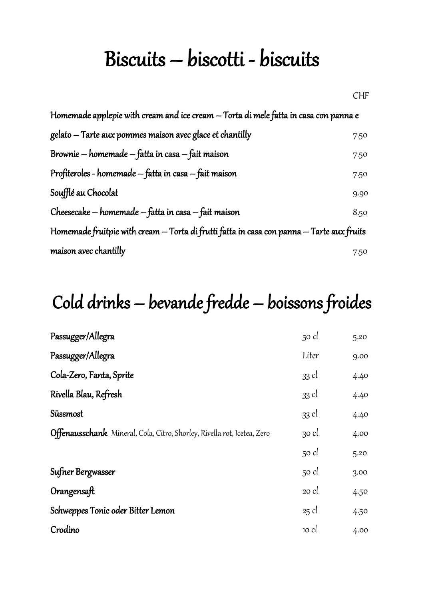#### Biscuits – biscotti - biscuits

| Homemade applepie with cream and ice cream – Torta di mele fatta in casa con panna e      |      |
|-------------------------------------------------------------------------------------------|------|
| gelato — Tarte aux pommes maison avec glace et chantilly                                  | 7.50 |
| Brownie – homemade – fatta in casa – fait maison                                          | 7.50 |
| Profiteroles - homemade – fatta in casa – fait maison                                     | 7.50 |
| Soufflé au Chocolat                                                                       | 9.90 |
| Cheesecake – homemade – fatta in casa – fait maison                                       | 8.50 |
| Homemade fruitpie with cream — Torta di frutti fatta in casa con panna — Tarte aux fruits |      |
| maison avec chantilly                                                                     | 7.50 |

#### Cold drinks – bevande fredde – boissons froides

| 50 cl   | 5.20 |
|---------|------|
| Liter   | 9.00 |
| 33 cl   | 4.40 |
| 33 cl   | 4.40 |
| 33 cl   | 4.40 |
| 30 cl   | 4.00 |
| 50 cl   | 5.20 |
| 50 cl   | 3.00 |
| $20$ cl | 4.50 |
| $25$ cl | 4.50 |
| 10 cl   | 4.00 |
|         |      |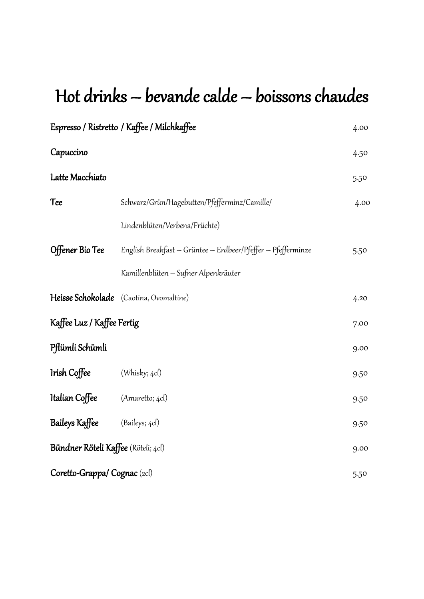#### Hot drinks – bevande calde – boissons chaudes

|                                     | Espresso / Ristretto / Kaffee / Milchkaffee                  | 4.00 |
|-------------------------------------|--------------------------------------------------------------|------|
| Capuccino                           |                                                              | 4.50 |
| Latte Macchiato                     |                                                              | 5.50 |
| <b>Tee</b>                          | Schwarz/Grün/Hagebutten/Pfefferminz/Camille/                 | 4.00 |
|                                     | Lindenblüten/Verbena/Früchte)                                |      |
| Offener Bio Tee                     | English Breakfast - Grüntee - Erdbeer/Pfeffer - Pfefferminze | 5.50 |
|                                     | Kamillenblüten – Sufner Alpenkräuter                         |      |
|                                     | Heisse Schokolade (Caotina, Ovomaltine)                      | 4.20 |
| Kaffee Luz / Kaffee Fertig          |                                                              | 7.00 |
| Pflümli Schümli                     |                                                              | 9.00 |
| Irish Coffee                        | (Whisky; 4cl)                                                | 9.50 |
| Italian Coffee                      | (Amaretto; 4cl)                                              | 9.50 |
| Baileys Kaffee                      | (Baileys; 4cl)                                               | 9.50 |
| Bündner Röteli Kaffee (Röteli; 4cl) |                                                              | 9.00 |
| Coretto-Grappa/Cognac (2cl)         |                                                              | 5.50 |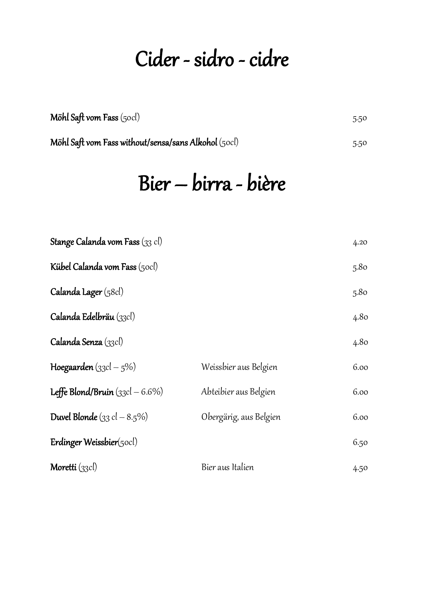#### Cider - sidro - cidre

| Möhl Saft vom Fass (50cl) | 5.50 |
|---------------------------|------|
|                           |      |

Möhl Saft vom Fass without/sensa/sans Alkohol (50cl) 5.50

### Bier – birra - bière

| <b>Stange Calanda vom Fass</b> (33 cl)        |                        | 4.20 |
|-----------------------------------------------|------------------------|------|
| <b>Kübel Calanda vom Fass</b> (50cl)          |                        | 5.80 |
| Calanda Lager (58cl)                          |                        | 5.80 |
| Calanda Edelbräu (33cl)                       |                        | 4.80 |
| Calanda Senza (33cl)                          |                        | 4.80 |
| Hoegaarden $(g_3cl - 5\%)$                    | Weissbier aus Belgien  | 6.00 |
| Leffe Blond/Bruin $(33cI - 6.6\%)$            | Abteibier aus Belgien  | 6.00 |
| <b>Duvel Blonde</b> $(33 \text{ cl } -8.5\%)$ | Obergärig, aus Belgien | 6.00 |
| Erdinger Weissbier $(50c)$                    |                        | 6.50 |
| Moretti (33cl)                                | Bier aus Italien       | 4.50 |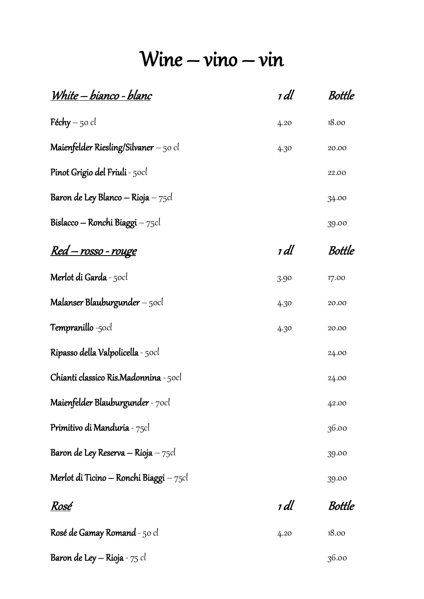#### $Wine - vino - vin$

| <u> White – bianco - blanc</u>               | 1 dl | Bottle        |
|----------------------------------------------|------|---------------|
| <b>Féchy</b> – 50 cl                         | 4.20 | 18.00         |
| Maienfelder Riesling/Silvaner $-$ 50 cl      | 4.30 | 20.00         |
| <b>Pinot Grigio del Friuli</b> - 50cl        |      | 22.00         |
| Baron de Ley Blanco — Rioja — $75$ cl        |      | 34.00         |
| Bislacco — Ronchi Biaggi — $75cl$            |      | 39.00         |
| <u> Red – rosso - rouge</u>                  | 1 dl | Bottle        |
| <b>Merlot di Garda</b> - 50cl                | 3.90 | 17.00         |
| Malanser Blauburgunder $-$ 50 $cl$           | 4.30 | 20.00         |
| <b>Tempranillo</b> -50cl                     | 4.30 | 20.00         |
| Ripasso della Valpolicella - 50cl            |      | 24.00         |
| <b>Chianti classico Ris.Madonnina</b> - 50cl |      | 24.00         |
| Maienfelder Blauburgunder - 70cl             |      | 42.00         |
| <b>Primitivo di Manduria</b> - 75cl          |      | 36.00         |
| Baron de Ley Reserva — Rioja — $75$ cl       |      | 39.00         |
| Merlot di Ticino — Ronchi Biaggi — $75cl$    |      | 39.00         |
| <u>Rosé</u>                                  | 1 dl | <b>Bottle</b> |
| <b>Rosé de Gamay Romand</b> - 50 cl          | 4.20 | 18.00         |
| <b>Baron de Ley — Rioja</b> - 75 cl          |      | 36.00         |